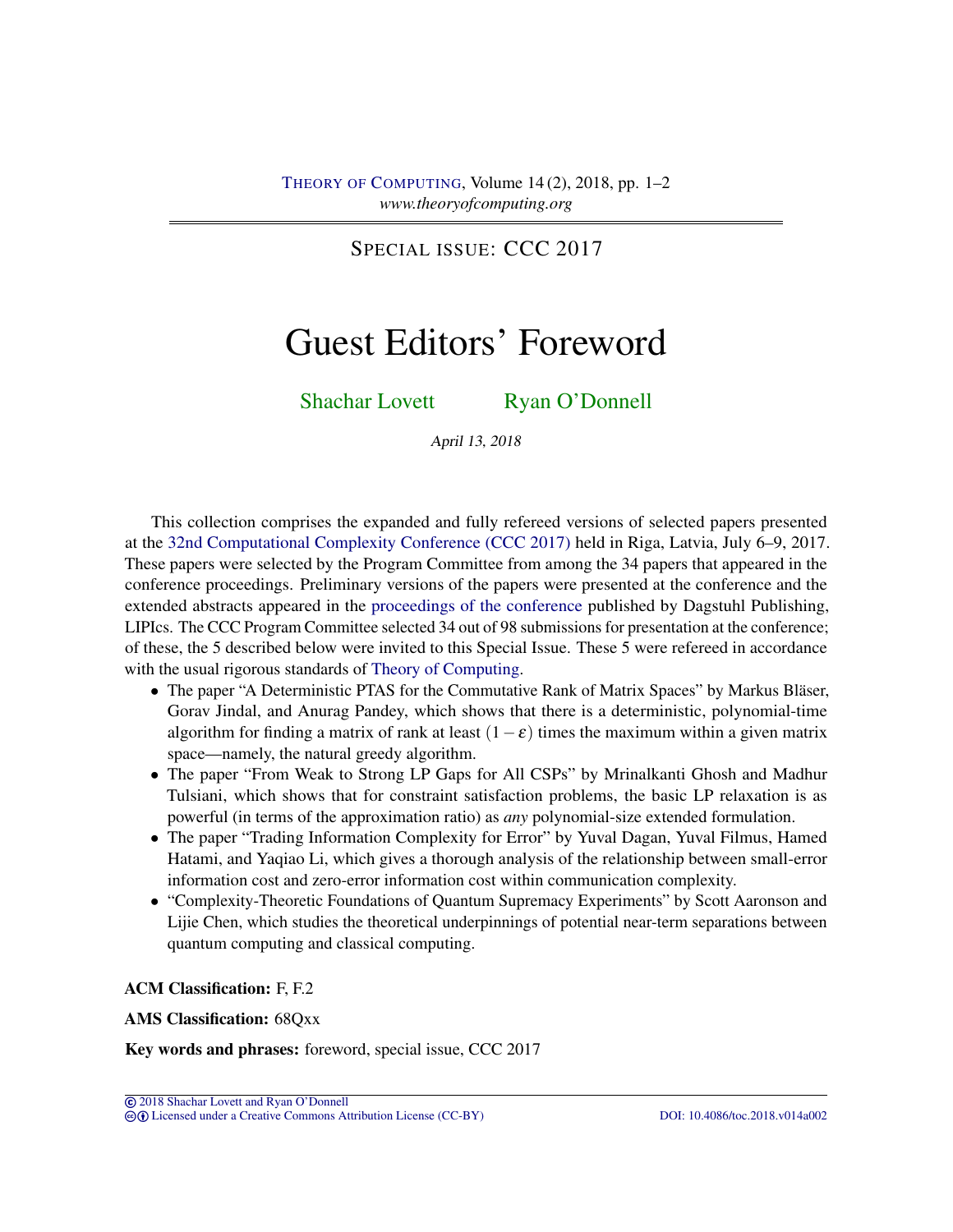SPECIAL ISSUE: CCC 2017

## Guest Editors' Foreword

[Shachar Lovett](#page-1-0) [Ryan O'Donnell](#page-1-1)

April 13, 2018

This collection comprises the expanded and fully refereed versions of selected papers presented at the [32nd Computational Complexity Conference \(CCC 2017\)](http://www.computationalcomplexity.org/Archive/2017/program.php) held in Riga, Latvia, July 6–9, 2017. These papers were selected by the Program Committee from among the 34 papers that appeared in the conference proceedings. Preliminary versions of the papers were presented at the conference and the extended abstracts appeared in the [proceedings of the conference](http://drops.dagstuhl.de/portals/extern/index.php?semnr=16039) published by Dagstuhl Publishing, LIPIcs. The CCC Program Committee selected 34 out of 98 submissions for presentation at the conference; of these, the 5 described below were invited to this Special Issue. These 5 were refereed in accordance with the usual rigorous standards of [Theory of Computing.](http://dx.doi.org/10.4086/toc)

- The paper "A Deterministic PTAS for the Commutative Rank of Matrix Spaces" by Markus Bläser, Gorav Jindal, and Anurag Pandey, which shows that there is a deterministic, polynomial-time algorithm for finding a matrix of rank at least  $(1-\epsilon)$  times the maximum within a given matrix space—namely, the natural greedy algorithm.
- The paper "From Weak to Strong LP Gaps for All CSPs" by Mrinalkanti Ghosh and Madhur Tulsiani, which shows that for constraint satisfaction problems, the basic LP relaxation is as powerful (in terms of the approximation ratio) as *any* polynomial-size extended formulation.
- The paper "Trading Information Complexity for Error" by Yuval Dagan, Yuval Filmus, Hamed Hatami, and Yaqiao Li, which gives a thorough analysis of the relationship between small-error information cost and zero-error information cost within communication complexity.
- "Complexity-Theoretic Foundations of Quantum Supremacy Experiments" by Scott Aaronson and Lijie Chen, which studies the theoretical underpinnings of potential near-term separations between quantum computing and classical computing.

ACM Classification: F, F.2

AMS Classification: 68Qxx

Key words and phrases: foreword, special issue, CCC 2017

© [2018 Shachar Lovett and Ryan O'Donnell](http://theoryofcomputing.org/copyright2009.html) cb [Licensed under a Creative Commons Attribution License \(CC-BY\)](http://creativecommons.org/licenses/by/3.0/) [DOI: 10.4086/toc.2018.v014a002](http://dx.doi.org/10.4086/toc.2018.v014a002)